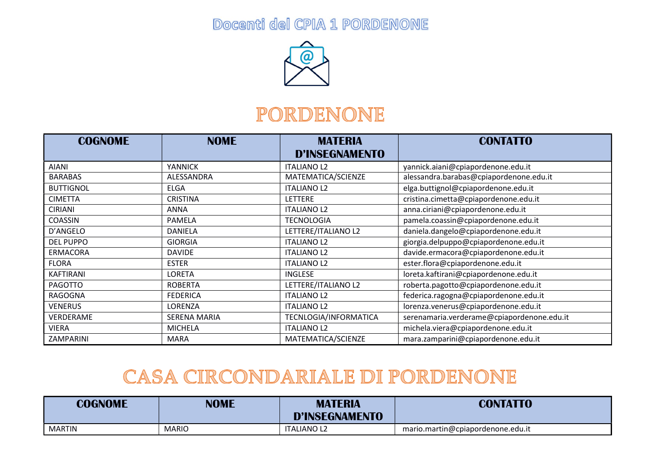Docenti del CPIA 1 PORDENONE



#### PORDENONE

| <b>COGNOME</b>   | <b>NOME</b>         | <b>MATERIA</b><br><b>D'INSEGNAMENTO</b> | <b>CONTATTO</b>                            |
|------------------|---------------------|-----------------------------------------|--------------------------------------------|
| <b>AIANI</b>     | <b>YANNICK</b>      | <b>ITALIANO L2</b>                      | yannick.aiani@cpiapordenone.edu.it         |
| <b>BARABAS</b>   | ALESSANDRA          | MATEMATICA/SCIENZE                      | alessandra.barabas@cpiapordenone.edu.it    |
| <b>BUTTIGNOL</b> | <b>ELGA</b>         | <b>ITALIANO L2</b>                      | elga.buttignol@cpiapordenone.edu.it        |
| <b>CIMETTA</b>   | <b>CRISTINA</b>     | <b>LETTERE</b>                          | cristina.cimetta@cpiapordenone.edu.it      |
| <b>CIRIANI</b>   | <b>ANNA</b>         | <b>ITALIANO L2</b>                      | anna.ciriani@cpiapordenone.edu.it          |
| COASSIN          | PAMELA              | <b>TECNOLOGIA</b>                       | pamela.coassin@cpiapordenone.edu.it        |
| D'ANGELO         | <b>DANIELA</b>      | LETTERE/ITALIANO L2                     | daniela.dangelo@cpiapordenone.edu.it       |
| <b>DEL PUPPO</b> | <b>GIORGIA</b>      | <b>ITALIANO L2</b>                      | giorgia.delpuppo@cpiapordenone.edu.it      |
| <b>ERMACORA</b>  | <b>DAVIDE</b>       | <b>ITALIANO L2</b>                      | davide.ermacora@cpiapordenone.edu.it       |
| <b>FLORA</b>     | <b>ESTER</b>        | <b>ITALIANO L2</b>                      | ester.flora@cpiapordenone.edu.it           |
| <b>KAFTIRANI</b> | <b>LORETA</b>       | <b>INGLESE</b>                          | loreta.kaftirani@cpiapordenone.edu.it      |
| <b>PAGOTTO</b>   | <b>ROBERTA</b>      | LETTERE/ITALIANO L2                     | roberta.pagotto@cpiapordenone.edu.it       |
| RAGOGNA          | <b>FEDERICA</b>     | <b>ITALIANO L2</b>                      | federica.ragogna@cpiapordenone.edu.it      |
| <b>VENERUS</b>   | LORENZA             | <b>ITALIANO L2</b>                      | lorenza.venerus@cpiapordenone.edu.it       |
| VERDERAME        | <b>SERENA MARIA</b> | TECNLOGIA/INFORMATICA                   | serenamaria.verderame@cpiapordenone.edu.it |
| <b>VIERA</b>     | <b>MICHELA</b>      | <b>ITALIANO L2</b>                      | michela.viera@cpiapordenone.edu.it         |
| ZAMPARINI        | <b>MARA</b>         | MATEMATICA/SCIENZE                      | mara.zamparini@cpiapordenone.edu.it        |

### CASA CIRCONDARIALE DI PORDENONE

| <b>COGNOME</b> | <b>NOME</b>  | <b>MATERIA</b>        | <b>CONTATTO</b>                   |
|----------------|--------------|-----------------------|-----------------------------------|
|                |              | <b>D'INSEGNAMENTO</b> |                                   |
| <b>MARTIN</b>  | <b>MARIO</b> | <b>ITALIANO L2</b>    | mario.martin@cpiapordenone.edu.it |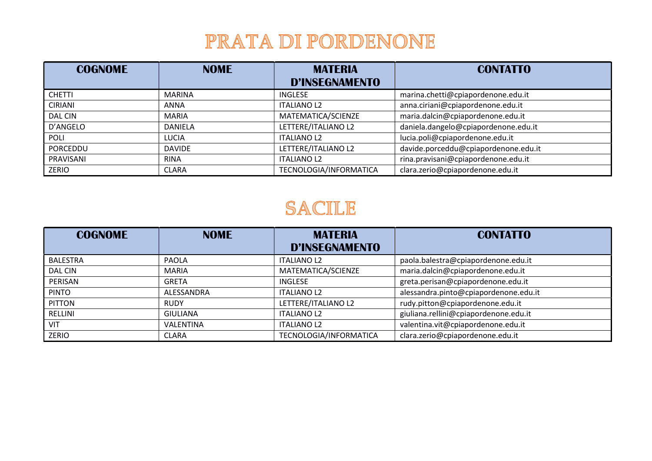## PRATA DI PORDENONE

| <b>COGNOME</b> | <b>NOME</b>   | <b>MATERIA</b><br><b>D'INSEGNAMENTO</b> | <b>CONTATTO</b>                      |
|----------------|---------------|-----------------------------------------|--------------------------------------|
| <b>CHETTI</b>  | <b>MARINA</b> | <b>INGLESE</b>                          | marina.chetti@cpiapordenone.edu.it   |
| <b>CIRIANI</b> | ANNA          | <b>ITALIANO L2</b>                      | anna.ciriani@cpiapordenone.edu.it    |
| DAL CIN        | <b>MARIA</b>  | MATEMATICA/SCIENZE                      | maria.dalcin@cpiapordenone.edu.it    |
| D'ANGELO       | DANIELA       | LETTERE/ITALIANO L2                     | daniela.dangelo@cpiapordenone.edu.it |
| <b>POLI</b>    | <b>LUCIA</b>  | <b>ITALIANO L2</b>                      | lucia.poli@cpiapordenone.edu.it      |
| PORCEDDU       | <b>DAVIDE</b> | LETTERE/ITALIANO L2                     | davide.porceddu@cpiapordenone.edu.it |
| PRAVISANI      | <b>RINA</b>   | <b>ITALIANO L2</b>                      | rina.pravisani@cpiapordenone.edu.it  |
| ZERIO          | <b>CLARA</b>  | TECNOLOGIA/INFORMATICA                  | clara.zerio@cpiapordenone.edu.it     |

### SACILE

| <b>COGNOME</b>  | <b>NOME</b>     | <b>MATERIA</b><br><b>D'INSEGNAMENTO</b> | <b>CONTATTO</b>                       |
|-----------------|-----------------|-----------------------------------------|---------------------------------------|
| <b>BALESTRA</b> | PAOLA           | <b>ITALIANO L2</b>                      | paola.balestra@cpiapordenone.edu.it   |
| <b>DAL CIN</b>  | <b>MARIA</b>    | MATEMATICA/SCIENZE                      | maria.dalcin@cpiapordenone.edu.it     |
| PERISAN         | <b>GRETA</b>    | INGLESE                                 | greta.perisan@cpiapordenone.edu.it    |
| <b>PINTO</b>    | ALESSANDRA      | <b>ITALIANO L2</b>                      | alessandra.pinto@cpiapordenone.edu.it |
| <b>PITTON</b>   | <b>RUDY</b>     | LETTERE/ITALIANO L2                     | rudy.pitton@cpiapordenone.edu.it      |
| RELLINI         | <b>GIULIANA</b> | <b>ITALIANO L2</b>                      | giuliana.rellini@cpiapordenone.edu.it |
| VIT             | VALENTINA       | <b>ITALIANO L2</b>                      | valentina.vit@cpiapordenone.edu.it    |
| ZERIO           | <b>CLARA</b>    | TECNOLOGIA/INFORMATICA                  | clara.zerio@cpiapordenone.edu.it      |